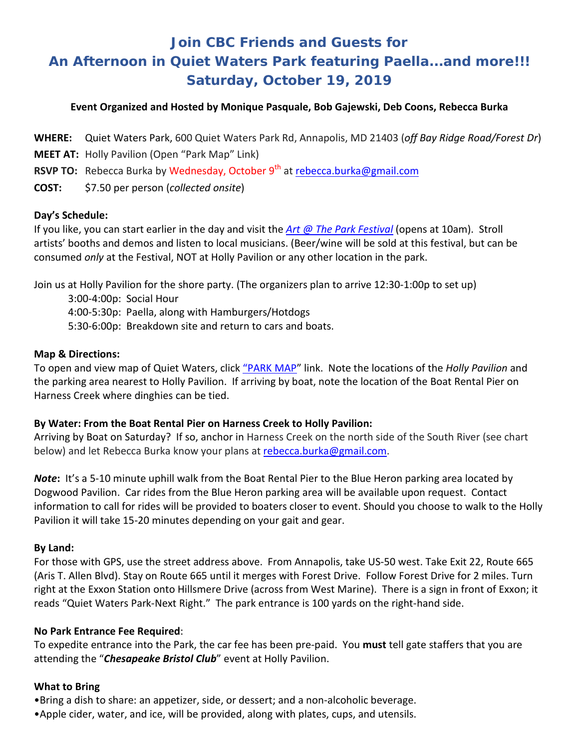# **Join CBC Friends and Guests for An Afternoon in Quiet Waters Park featuring Paella...and more!!! Saturday, October 19, 2019**

## **Event Organized and Hosted by Monique Pasquale, Bob Gajewski, Deb Coons, Rebecca Burka**

**WHERE:** Quiet Waters Park, 600 Quiet Waters Park Rd, Annapolis, MD 21403 (*off Bay Ridge Road/Forest Dr*)

**MEET AT:** Holly Pavilion (Open "Park Map" Link)

**RSVP TO:** Rebecca Burka by Wednesday, October 9<sup>th</sup> at [rebecca.burka@gmail.com](mailto:rebecca.burka@gmail.com)

**COST:** \$7.50 per person (*collected onsite*)

### **Day's Schedule:**

If you like, you can start earlier in the day and visit the *[Art @ The Park Festival](http://fqwp.org/art/arts-and-music-festival/)* (opens at 10am). Stroll artists' booths and demos and listen to local musicians. (Beer/wine will be sold at this festival, but can be consumed *only* at the Festival, NOT at Holly Pavilion or any other location in the park.

Join us at Holly Pavilion for the shore party. (The organizers plan to arrive 12:30-1:00p to set up)

3:00-4:00p: Social Hour 4:00-5:30p: Paella, along with Hamburgers/Hotdogs 5:30-6:00p: Breakdown site and return to cars and boats.

### **Map & Directions:**

To open and view map of Quiet Waters, click ["PARK MAP"](https://www.aacounty.org/locations-and-directions/F1A16F59F703386496130F0581AA755D.pdf) link. Note the locations of the *Holly Pavilion* and the parking area nearest to Holly Pavilion. If arriving by boat, note the location of the Boat Rental Pier on Harness Creek where dinghies can be tied.

### **By Water: From the Boat Rental Pier on Harness Creek to Holly Pavilion:**

Arriving by Boat on Saturday? If so, anchor in Harness Creek on the north side of the South River (see chart below) and let Rebecca Burka know your plans at [rebecca.burka@gmail.com.](mailto:rebecca.burka@gmail.com)

*Note***:** It's a 5-10 minute uphill walk from the Boat Rental Pier to the Blue Heron parking area located by Dogwood Pavilion. Car rides from the Blue Heron parking area will be available upon request. Contact information to call for rides will be provided to boaters closer to event. Should you choose to walk to the Holly Pavilion it will take 15-20 minutes depending on your gait and gear.

## **By Land:**

For those with GPS, use the street address above. From Annapolis, take US-50 west. Take Exit 22, Route 665 (Aris T. Allen Blvd). Stay on Route 665 until it merges with Forest Drive. Follow Forest Drive for 2 miles. Turn right at the Exxon Station onto Hillsmere Drive (across from West Marine). There is a sign in front of Exxon; it reads "Quiet Waters Park-Next Right." The park entrance is 100 yards on the right-hand side.

### **No Park Entrance Fee Required**:

To expedite entrance into the Park, the car fee has been pre-paid. You **must** tell gate staffers that you are attending the "*Chesapeake Bristol Club*" event at Holly Pavilion.

### **What to Bring**

•Bring a dish to share: an appetizer, side, or dessert; and a non-alcoholic beverage.

•Apple cider, water, and ice, will be provided, along with plates, cups, and utensils.